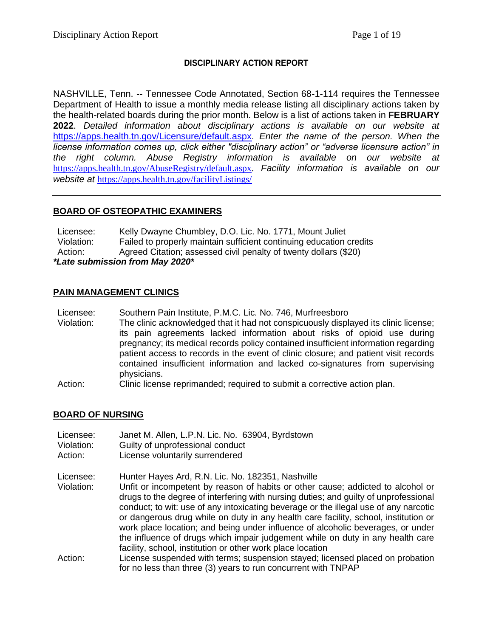## **DISCIPLINARY ACTION REPORT**

NASHVILLE, Tenn. -- Tennessee Code Annotated, Section 68-1-114 requires the Tennessee Department of Health to issue a monthly media release listing all disciplinary actions taken by the health-related boards during the prior month. Below is a list of actions taken in **FEBRUARY 2022**. *Detailed information about disciplinary actions is available on our website at*  <https://apps.health.tn.gov/Licensure/default.aspx>*. Enter the name of the person. When the license information comes up, click either "disciplinary action" or "adverse licensure action" in the right column. Abuse Registry information is available on our website at* [https://apps.health.tn.gov/AbuseRegistry/default.aspx.](https://apps.health.tn.gov/AbuseRegistry/default.aspx) *Facility information is available on our website at* <https://apps.health.tn.gov/facilityListings/>

## **BOARD OF OSTEOPATHIC EXAMINERS**

Licensee: Kelly Dwayne Chumbley, D.O. Lic. No. 1771, Mount Juliet Violation: Failed to properly maintain sufficient continuing education credits Action: Agreed Citation; assessed civil penalty of twenty dollars (\$20) *\*Late submission from May 2020\**

#### **PAIN MANAGEMENT CLINICS**

- Licensee: Southern Pain Institute, P.M.C. Lic. No. 746, Murfreesboro
- Violation: The clinic acknowledged that it had not conspicuously displayed its clinic license; its pain agreements lacked information about risks of opioid use during pregnancy; its medical records policy contained insufficient information regarding patient access to records in the event of clinic closure; and patient visit records contained insufficient information and lacked co-signatures from supervising physicians.
- Action: Clinic license reprimanded; required to submit a corrective action plan.

#### **BOARD OF NURSING**

- Licensee: Janet M. Allen, L.P.N. Lic. No. 63904, Byrdstown
- Violation: Guilty of unprofessional conduct
- Action: License voluntarily surrendered
- Licensee: Hunter Hayes Ard, R.N. Lic. No. 182351, Nashville
- Violation: Unfit or incompetent by reason of habits or other cause; addicted to alcohol or drugs to the degree of interfering with nursing duties; and guilty of unprofessional conduct; to wit: use of any intoxicating beverage or the illegal use of any narcotic or dangerous drug while on duty in any health care facility, school, institution or work place location; and being under influence of alcoholic beverages, or under the influence of drugs which impair judgement while on duty in any health care facility, school, institution or other work place location
- Action: License suspended with terms; suspension stayed; licensed placed on probation for no less than three (3) years to run concurrent with TNPAP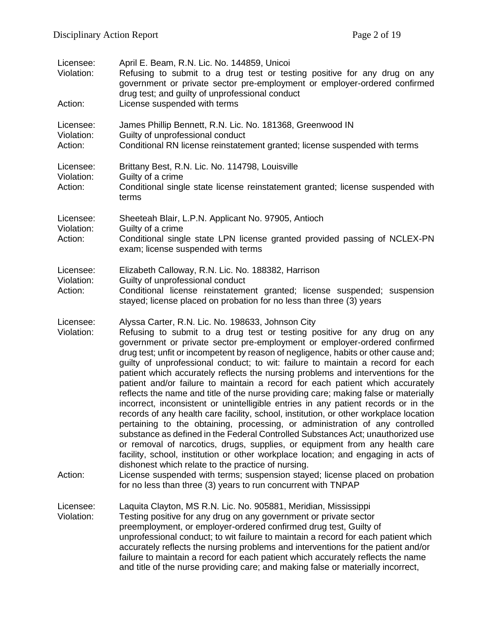| Licensee:<br>Violation:<br>Action: | April E. Beam, R.N. Lic. No. 144859, Unicoi<br>Refusing to submit to a drug test or testing positive for any drug on any<br>government or private sector pre-employment or employer-ordered confirmed<br>drug test; and guilty of unprofessional conduct<br>License suspended with terms                                                                                                                                                                                                                                                                                                                                                                                                                                                                                                                                                                                                                                                                                                                                                                                                                                                                                                                                                                                                                                                                                        |
|------------------------------------|---------------------------------------------------------------------------------------------------------------------------------------------------------------------------------------------------------------------------------------------------------------------------------------------------------------------------------------------------------------------------------------------------------------------------------------------------------------------------------------------------------------------------------------------------------------------------------------------------------------------------------------------------------------------------------------------------------------------------------------------------------------------------------------------------------------------------------------------------------------------------------------------------------------------------------------------------------------------------------------------------------------------------------------------------------------------------------------------------------------------------------------------------------------------------------------------------------------------------------------------------------------------------------------------------------------------------------------------------------------------------------|
| Licensee:<br>Violation:<br>Action: | James Phillip Bennett, R.N. Lic. No. 181368, Greenwood IN<br>Guilty of unprofessional conduct<br>Conditional RN license reinstatement granted; license suspended with terms                                                                                                                                                                                                                                                                                                                                                                                                                                                                                                                                                                                                                                                                                                                                                                                                                                                                                                                                                                                                                                                                                                                                                                                                     |
| Licensee:<br>Violation:<br>Action: | Brittany Best, R.N. Lic. No. 114798, Louisville<br>Guilty of a crime<br>Conditional single state license reinstatement granted; license suspended with<br>terms                                                                                                                                                                                                                                                                                                                                                                                                                                                                                                                                                                                                                                                                                                                                                                                                                                                                                                                                                                                                                                                                                                                                                                                                                 |
| Licensee:<br>Violation:            | Sheeteah Blair, L.P.N. Applicant No. 97905, Antioch<br>Guilty of a crime                                                                                                                                                                                                                                                                                                                                                                                                                                                                                                                                                                                                                                                                                                                                                                                                                                                                                                                                                                                                                                                                                                                                                                                                                                                                                                        |
| Action:                            | Conditional single state LPN license granted provided passing of NCLEX-PN<br>exam; license suspended with terms                                                                                                                                                                                                                                                                                                                                                                                                                                                                                                                                                                                                                                                                                                                                                                                                                                                                                                                                                                                                                                                                                                                                                                                                                                                                 |
| Licensee:<br>Violation:<br>Action: | Elizabeth Calloway, R.N. Lic. No. 188382, Harrison<br>Guilty of unprofessional conduct<br>Conditional license reinstatement granted; license suspended; suspension<br>stayed; license placed on probation for no less than three (3) years                                                                                                                                                                                                                                                                                                                                                                                                                                                                                                                                                                                                                                                                                                                                                                                                                                                                                                                                                                                                                                                                                                                                      |
| Licensee:<br>Violation:<br>Action: | Alyssa Carter, R.N. Lic. No. 198633, Johnson City<br>Refusing to submit to a drug test or testing positive for any drug on any<br>government or private sector pre-employment or employer-ordered confirmed<br>drug test; unfit or incompetent by reason of negligence, habits or other cause and;<br>guilty of unprofessional conduct; to wit: failure to maintain a record for each<br>patient which accurately reflects the nursing problems and interventions for the<br>patient and/or failure to maintain a record for each patient which accurately<br>reflects the name and title of the nurse providing care; making false or materially<br>incorrect, inconsistent or unintelligible entries in any patient records or in the<br>records of any health care facility, school, institution, or other workplace location<br>pertaining to the obtaining, processing, or administration of any controlled<br>substance as defined in the Federal Controlled Substances Act; unauthorized use<br>or removal of narcotics, drugs, supplies, or equipment from any health care<br>facility, school, institution or other workplace location; and engaging in acts of<br>dishonest which relate to the practice of nursing.<br>License suspended with terms; suspension stayed; license placed on probation<br>for no less than three (3) years to run concurrent with TNPAP |
| Licensee:<br>Violation:            | Laquita Clayton, MS R.N. Lic. No. 905881, Meridian, Mississippi<br>Testing positive for any drug on any government or private sector<br>preemployment, or employer-ordered confirmed drug test, Guilty of<br>unprofessional conduct; to wit failure to maintain a record for each patient which<br>accurately reflects the nursing problems and interventions for the patient and/or<br>failure to maintain a record for each patient which accurately reflects the name<br>and title of the nurse providing care; and making false or materially incorrect,                                                                                                                                                                                                                                                                                                                                                                                                                                                                                                                                                                                                                                                                                                                                                                                                                    |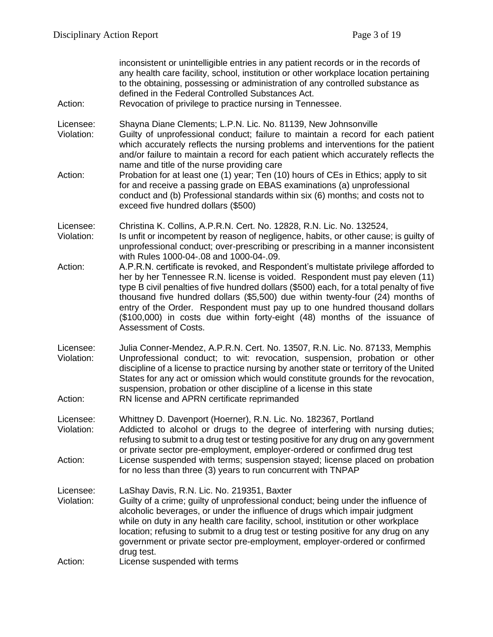| Action:                            | inconsistent or unintelligible entries in any patient records or in the records of<br>any health care facility, school, institution or other workplace location pertaining<br>to the obtaining, possessing or administration of any controlled substance as<br>defined in the Federal Controlled Substances Act.<br>Revocation of privilege to practice nursing in Tennessee.                                                                                                                                                                                                                                                                                       |
|------------------------------------|---------------------------------------------------------------------------------------------------------------------------------------------------------------------------------------------------------------------------------------------------------------------------------------------------------------------------------------------------------------------------------------------------------------------------------------------------------------------------------------------------------------------------------------------------------------------------------------------------------------------------------------------------------------------|
| Licensee:<br>Violation:<br>Action: | Shayna Diane Clements; L.P.N. Lic. No. 81139, New Johnsonville<br>Guilty of unprofessional conduct; failure to maintain a record for each patient<br>which accurately reflects the nursing problems and interventions for the patient<br>and/or failure to maintain a record for each patient which accurately reflects the<br>name and title of the nurse providing care<br>Probation for at least one (1) year; Ten (10) hours of CEs in Ethics; apply to sit<br>for and receive a passing grade on EBAS examinations (a) unprofessional<br>conduct and (b) Professional standards within six (6) months; and costs not to<br>exceed five hundred dollars (\$500) |
| Licensee:<br>Violation:            | Christina K. Collins, A.P.R.N. Cert. No. 12828, R.N. Lic. No. 132524,<br>Is unfit or incompetent by reason of negligence, habits, or other cause; is guilty of<br>unprofessional conduct; over-prescribing or prescribing in a manner inconsistent                                                                                                                                                                                                                                                                                                                                                                                                                  |
| Action:                            | with Rules 1000-04-.08 and 1000-04-.09.<br>A.P.R.N. certificate is revoked, and Respondent's multistate privilege afforded to<br>her by her Tennessee R.N. license is voided. Respondent must pay eleven (11)<br>type B civil penalties of five hundred dollars (\$500) each, for a total penalty of five<br>thousand five hundred dollars (\$5,500) due within twenty-four (24) months of<br>entry of the Order. Respondent must pay up to one hundred thousand dollars<br>(\$100,000) in costs due within forty-eight (48) months of the issuance of<br><b>Assessment of Costs.</b>                                                                               |
| Licensee:<br>Violation:<br>Action: | Julia Conner-Mendez, A.P.R.N. Cert. No. 13507, R.N. Lic. No. 87133, Memphis<br>Unprofessional conduct; to wit: revocation, suspension, probation or other<br>discipline of a license to practice nursing by another state or territory of the United<br>States for any act or omission which would constitute grounds for the revocation,<br>suspension, probation or other discipline of a license in this state<br>RN license and APRN certificate reprimanded                                                                                                                                                                                                    |
| Licensee:<br>Violation:<br>Action: | Whittney D. Davenport (Hoerner), R.N. Lic. No. 182367, Portland<br>Addicted to alcohol or drugs to the degree of interfering with nursing duties;<br>refusing to submit to a drug test or testing positive for any drug on any government<br>or private sector pre-employment, employer-ordered or confirmed drug test<br>License suspended with terms; suspension stayed; license placed on probation<br>for no less than three (3) years to run concurrent with TNPAP                                                                                                                                                                                             |
| Licensee:<br>Violation:            | LaShay Davis, R.N. Lic. No. 219351, Baxter<br>Guilty of a crime; guilty of unprofessional conduct; being under the influence of<br>alcoholic beverages, or under the influence of drugs which impair judgment<br>while on duty in any health care facility, school, institution or other workplace<br>location; refusing to submit to a drug test or testing positive for any drug on any<br>government or private sector pre-employment, employer-ordered or confirmed<br>drug test.                                                                                                                                                                               |
| Action:                            | License suspended with terms                                                                                                                                                                                                                                                                                                                                                                                                                                                                                                                                                                                                                                        |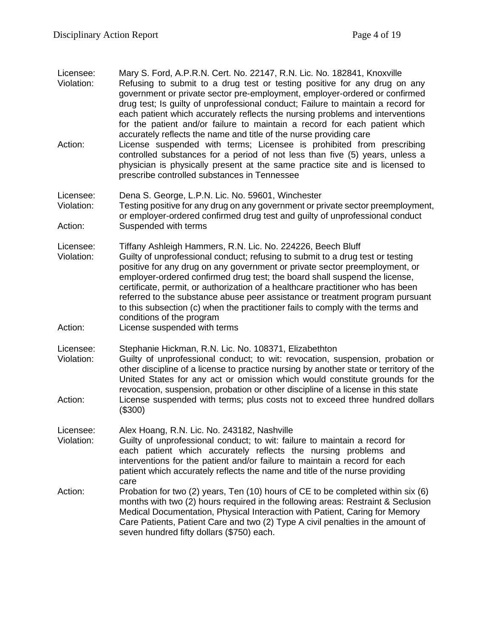- Licensee: Mary S. Ford, A.P.R.N. Cert. No. 22147, R.N. Lic. No. 182841, Knoxville Violation: Refusing to submit to a drug test or testing positive for any drug on any government or private sector pre-employment, employer-ordered or confirmed drug test; Is guilty of unprofessional conduct; Failure to maintain a record for each patient which accurately reflects the nursing problems and interventions for the patient and/or failure to maintain a record for each patient which accurately reflects the name and title of the nurse providing care Action: License suspended with terms; Licensee is prohibited from prescribing controlled substances for a period of not less than five (5) years, unless a physician is physically present at the same practice site and is licensed to prescribe controlled substances in Tennessee Licensee: Dena S. George, L.P.N. Lic. No. 59601, Winchester
- Violation: Testing positive for any drug on any government or private sector preemployment, or employer-ordered confirmed drug test and guilty of unprofessional conduct Action: Suspended with terms
- Licensee: Tiffany Ashleigh Hammers, R.N. Lic. No. 224226, Beech Bluff Violation: Guilty of unprofessional conduct; refusing to submit to a drug test or testing positive for any drug on any government or private sector preemployment, or employer-ordered confirmed drug test; the board shall suspend the license, certificate, permit, or authorization of a healthcare practitioner who has been referred to the substance abuse peer assistance or treatment program pursuant to this subsection (c) when the practitioner fails to comply with the terms and conditions of the program
- Action: License suspended with terms

Licensee: Stephanie Hickman, R.N. Lic. No. 108371, Elizabethton

Violation: Guilty of unprofessional conduct; to wit: revocation, suspension, probation or other discipline of a license to practice nursing by another state or territory of the United States for any act or omission which would constitute grounds for the revocation, suspension, probation or other discipline of a license in this state Action: License suspended with terms; plus costs not to exceed three hundred dollars (\$300)

Licensee: Alex Hoang, R.N. Lic. No. 243182, Nashville

- Violation: Guilty of unprofessional conduct; to wit: failure to maintain a record for each patient which accurately reflects the nursing problems and interventions for the patient and/or failure to maintain a record for each patient which accurately reflects the name and title of the nurse providing care
- Action: Probation for two (2) years, Ten (10) hours of CE to be completed within six (6) months with two (2) hours required in the following areas: Restraint & Seclusion Medical Documentation, Physical Interaction with Patient, Caring for Memory Care Patients, Patient Care and two (2) Type A civil penalties in the amount of seven hundred fifty dollars (\$750) each.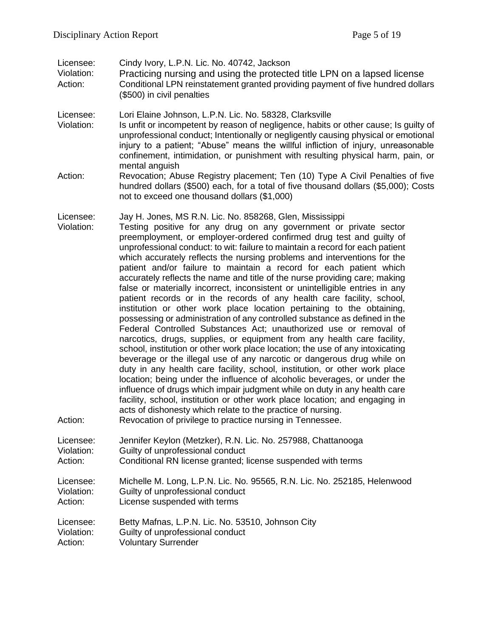Licensee: Cindy Ivory, L.P.N. Lic. No. 40742, Jackson

Violation: Practicing nursing and using the protected title LPN on a lapsed license Action: Conditional LPN reinstatement granted providing payment of five hundred dollars (\$500) in civil penalties

Licensee: Lori Elaine Johnson, L.P.N. Lic. No. 58328, Clarksville

- Violation: Is unfit or incompetent by reason of negligence, habits or other cause; Is guilty of unprofessional conduct; Intentionally or negligently causing physical or emotional injury to a patient; "Abuse" means the willful infliction of injury, unreasonable confinement, intimidation, or punishment with resulting physical harm, pain, or mental anguish
- Action: Revocation; Abuse Registry placement; Ten (10) Type A Civil Penalties of five hundred dollars (\$500) each, for a total of five thousand dollars (\$5,000); Costs not to exceed one thousand dollars (\$1,000)

Licensee: Jay H. Jones, MS R.N. Lic. No. 858268, Glen, Mississippi

- Violation: Testing positive for any drug on any government or private sector preemployment, or employer-ordered confirmed drug test and guilty of unprofessional conduct: to wit: failure to maintain a record for each patient which accurately reflects the nursing problems and interventions for the patient and/or failure to maintain a record for each patient which accurately reflects the name and title of the nurse providing care; making false or materially incorrect, inconsistent or unintelligible entries in any patient records or in the records of any health care facility, school, institution or other work place location pertaining to the obtaining, possessing or administration of any controlled substance as defined in the Federal Controlled Substances Act; unauthorized use or removal of narcotics, drugs, supplies, or equipment from any health care facility, school, institution or other work place location; the use of any intoxicating beverage or the illegal use of any narcotic or dangerous drug while on duty in any health care facility, school, institution, or other work place location; being under the influence of alcoholic beverages, or under the influence of drugs which impair judgment while on duty in any health care facility, school, institution or other work place location; and engaging in acts of dishonesty which relate to the practice of nursing.
- Action: Revocation of privilege to practice nursing in Tennessee.

| Licensee:  | Jennifer Keylon (Metzker), R.N. Lic. No. 257988, Chattanooga             |
|------------|--------------------------------------------------------------------------|
| Violation: | Guilty of unprofessional conduct                                         |
| Action:    | Conditional RN license granted; license suspended with terms             |
| Licensee:  | Michelle M. Long, L.P.N. Lic. No. 95565, R.N. Lic. No. 252185, Helenwood |
| Violation: | Guilty of unprofessional conduct                                         |
| Action:    | License suspended with terms                                             |
| Licensee:  | Betty Mafnas, L.P.N. Lic. No. 53510, Johnson City                        |
| Violation: | Guilty of unprofessional conduct                                         |
| Action:    | <b>Voluntary Surrender</b>                                               |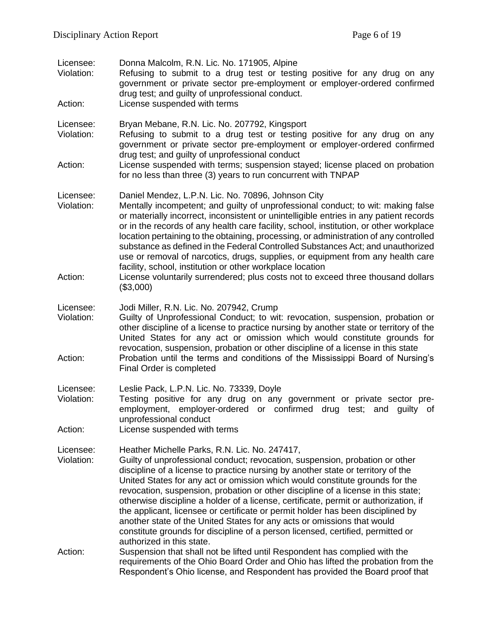| Licensee:<br>Violation:<br>Action: | Donna Malcolm, R.N. Lic. No. 171905, Alpine<br>Refusing to submit to a drug test or testing positive for any drug on any<br>government or private sector pre-employment or employer-ordered confirmed<br>drug test; and guilty of unprofessional conduct.<br>License suspended with terms                                                                                                                                                                                                                                                                                                                                                                                                                                                                                                                                                  |
|------------------------------------|--------------------------------------------------------------------------------------------------------------------------------------------------------------------------------------------------------------------------------------------------------------------------------------------------------------------------------------------------------------------------------------------------------------------------------------------------------------------------------------------------------------------------------------------------------------------------------------------------------------------------------------------------------------------------------------------------------------------------------------------------------------------------------------------------------------------------------------------|
| Licensee:<br>Violation:            | Bryan Mebane, R.N. Lic. No. 207792, Kingsport<br>Refusing to submit to a drug test or testing positive for any drug on any<br>government or private sector pre-employment or employer-ordered confirmed<br>drug test; and guilty of unprofessional conduct                                                                                                                                                                                                                                                                                                                                                                                                                                                                                                                                                                                 |
| Action:                            | License suspended with terms; suspension stayed; license placed on probation<br>for no less than three (3) years to run concurrent with TNPAP                                                                                                                                                                                                                                                                                                                                                                                                                                                                                                                                                                                                                                                                                              |
| Licensee:<br>Violation:<br>Action: | Daniel Mendez, L.P.N. Lic. No. 70896, Johnson City<br>Mentally incompetent; and guilty of unprofessional conduct; to wit: making false<br>or materially incorrect, inconsistent or unintelligible entries in any patient records<br>or in the records of any health care facility, school, institution, or other workplace<br>location pertaining to the obtaining, processing, or administration of any controlled<br>substance as defined in the Federal Controlled Substances Act; and unauthorized<br>use or removal of narcotics, drugs, supplies, or equipment from any health care<br>facility, school, institution or other workplace location<br>License voluntarily surrendered; plus costs not to exceed three thousand dollars<br>(\$3,000)                                                                                    |
| Licensee:<br>Violation:<br>Action: | Jodi Miller, R.N. Lic. No. 207942, Crump<br>Guilty of Unprofessional Conduct; to wit: revocation, suspension, probation or<br>other discipline of a license to practice nursing by another state or territory of the<br>United States for any act or omission which would constitute grounds for<br>revocation, suspension, probation or other discipline of a license in this state<br>Probation until the terms and conditions of the Mississippi Board of Nursing's<br>Final Order is completed                                                                                                                                                                                                                                                                                                                                         |
| Licensee:<br>Violation:<br>Action: | Leslie Pack, L.P.N. Lic. No. 73339, Doyle<br>Testing positive for any drug on any government or private sector pre-<br>employment, employer-ordered or confirmed drug test; and quilty of<br>unprofessional conduct<br>License suspended with terms                                                                                                                                                                                                                                                                                                                                                                                                                                                                                                                                                                                        |
| Licensee:<br>Violation:<br>Action: | Heather Michelle Parks, R.N. Lic. No. 247417,<br>Guilty of unprofessional conduct; revocation, suspension, probation or other<br>discipline of a license to practice nursing by another state or territory of the<br>United States for any act or omission which would constitute grounds for the<br>revocation, suspension, probation or other discipline of a license in this state;<br>otherwise discipline a holder of a license, certificate, permit or authorization, if<br>the applicant, licensee or certificate or permit holder has been disciplined by<br>another state of the United States for any acts or omissions that would<br>constitute grounds for discipline of a person licensed, certified, permitted or<br>authorized in this state.<br>Suspension that shall not be lifted until Respondent has complied with the |
|                                    | requirements of the Ohio Board Order and Ohio has lifted the probation from the<br>Respondent's Ohio license, and Respondent has provided the Board proof that                                                                                                                                                                                                                                                                                                                                                                                                                                                                                                                                                                                                                                                                             |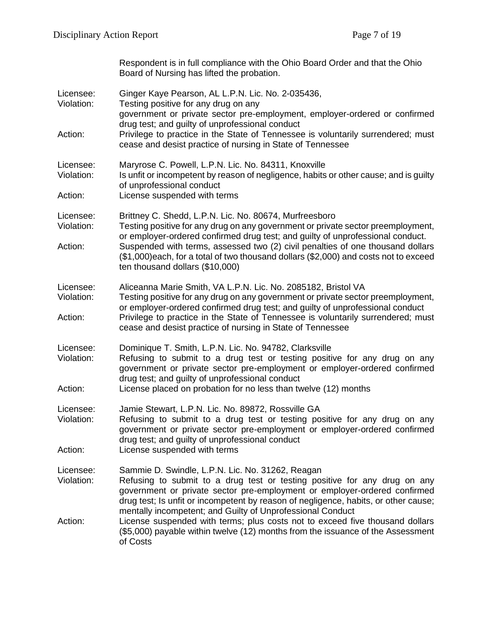Respondent is in full compliance with the Ohio Board Order and that the Ohio Board of Nursing has lifted the probation.

| Licensee:<br>Violation:<br>Action: | Ginger Kaye Pearson, AL L.P.N. Lic. No. 2-035436,<br>Testing positive for any drug on any<br>government or private sector pre-employment, employer-ordered or confirmed<br>drug test; and guilty of unprofessional conduct<br>Privilege to practice in the State of Tennessee is voluntarily surrendered; must<br>cease and desist practice of nursing in State of Tennessee |
|------------------------------------|------------------------------------------------------------------------------------------------------------------------------------------------------------------------------------------------------------------------------------------------------------------------------------------------------------------------------------------------------------------------------|
| Licensee:<br>Violation:            | Maryrose C. Powell, L.P.N. Lic. No. 84311, Knoxville<br>Is unfit or incompetent by reason of negligence, habits or other cause; and is guilty<br>of unprofessional conduct                                                                                                                                                                                                   |
| Action:                            | License suspended with terms                                                                                                                                                                                                                                                                                                                                                 |
| Licensee:<br>Violation:            | Brittney C. Shedd, L.P.N. Lic. No. 80674, Murfreesboro<br>Testing positive for any drug on any government or private sector preemployment,<br>or employer-ordered confirmed drug test; and guilty of unprofessional conduct.                                                                                                                                                 |
| Action:                            | Suspended with terms, assessed two (2) civil penalties of one thousand dollars<br>(\$1,000)each, for a total of two thousand dollars (\$2,000) and costs not to exceed<br>ten thousand dollars (\$10,000)                                                                                                                                                                    |
| Licensee:<br>Violation:            | Aliceanna Marie Smith, VA L.P.N. Lic. No. 2085182, Bristol VA<br>Testing positive for any drug on any government or private sector preemployment,<br>or employer-ordered confirmed drug test; and guilty of unprofessional conduct                                                                                                                                           |
| Action:                            | Privilege to practice in the State of Tennessee is voluntarily surrendered; must<br>cease and desist practice of nursing in State of Tennessee                                                                                                                                                                                                                               |
| Licensee:<br>Violation:            | Dominique T. Smith, L.P.N. Lic. No. 94782, Clarksville<br>Refusing to submit to a drug test or testing positive for any drug on any<br>government or private sector pre-employment or employer-ordered confirmed<br>drug test; and guilty of unprofessional conduct                                                                                                          |
| Action:                            | License placed on probation for no less than twelve (12) months                                                                                                                                                                                                                                                                                                              |
| Licensee:<br>Violation:            | Jamie Stewart, L.P.N. Lic. No. 89872, Rossville GA<br>Refusing to submit to a drug test or testing positive for any drug on any<br>government or private sector pre-employment or employer-ordered confirmed<br>drug test; and guilty of unprofessional conduct                                                                                                              |
| Action:                            | License suspended with terms                                                                                                                                                                                                                                                                                                                                                 |
| Licensee:<br>Violation:            | Sammie D. Swindle, L.P.N. Lic. No. 31262, Reagan<br>Refusing to submit to a drug test or testing positive for any drug on any<br>government or private sector pre-employment or employer-ordered confirmed<br>drug test; Is unfit or incompetent by reason of negligence, habits, or other cause;                                                                            |
| Action:                            | mentally incompetent; and Guilty of Unprofessional Conduct<br>License suspended with terms; plus costs not to exceed five thousand dollars<br>(\$5,000) payable within twelve (12) months from the issuance of the Assessment<br>of Costs                                                                                                                                    |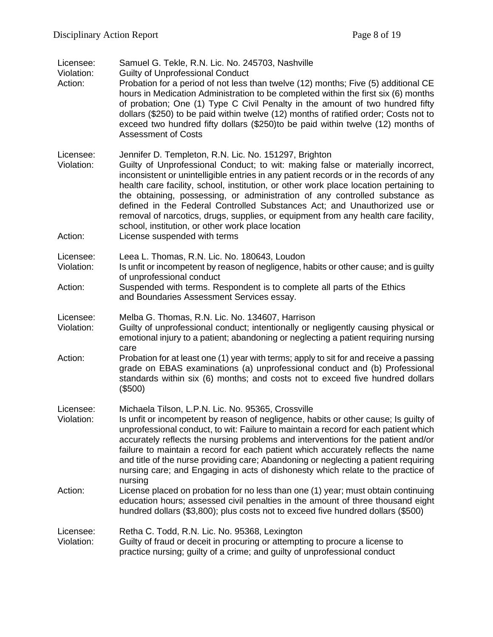| Licensee: |  |  |  |  | Samuel G. Tekle, R.N. Lic. No. 245703, Nashville |
|-----------|--|--|--|--|--------------------------------------------------|
|-----------|--|--|--|--|--------------------------------------------------|

- Violation: Guilty of Unprofessional Conduct
- Action: Probation for a period of not less than twelve (12) months; Five (5) additional CE hours in Medication Administration to be completed within the first six (6) months of probation; One (1) Type C Civil Penalty in the amount of two hundred fifty dollars (\$250) to be paid within twelve (12) months of ratified order; Costs not to exceed two hundred fifty dollars (\$250)to be paid within twelve (12) months of Assessment of Costs

Licensee: Jennifer D. Templeton, R.N. Lic. No. 151297, Brighton

- Violation: Guilty of Unprofessional Conduct; to wit: making false or materially incorrect, inconsistent or unintelligible entries in any patient records or in the records of any health care facility, school, institution, or other work place location pertaining to the obtaining, possessing, or administration of any controlled substance as defined in the Federal Controlled Substances Act; and Unauthorized use or removal of narcotics, drugs, supplies, or equipment from any health care facility, school, institution, or other work place location
- Action: License suspended with terms

Licensee: Leea L. Thomas, R.N. Lic. No. 180643, Loudon

- Violation: Is unfit or incompetent by reason of negligence, habits or other cause; and is guilty of unprofessional conduct
- Action: Suspended with terms. Respondent is to complete all parts of the Ethics and Boundaries Assessment Services essay.

Licensee: Melba G. Thomas, R.N. Lic. No. 134607, Harrison

- Violation: Guilty of unprofessional conduct; intentionally or negligently causing physical or emotional injury to a patient; abandoning or neglecting a patient requiring nursing care
- Action: Probation for at least one (1) year with terms; apply to sit for and receive a passing grade on EBAS examinations (a) unprofessional conduct and (b) Professional standards within six (6) months; and costs not to exceed five hundred dollars (\$500)

Licensee: Michaela Tilson, L.P.N. Lic. No. 95365, Crossville

- Violation: Is unfit or incompetent by reason of negligence, habits or other cause; Is guilty of unprofessional conduct, to wit: Failure to maintain a record for each patient which accurately reflects the nursing problems and interventions for the patient and/or failure to maintain a record for each patient which accurately reflects the name and title of the nurse providing care; Abandoning or neglecting a patient requiring nursing care; and Engaging in acts of dishonesty which relate to the practice of nursing
- Action: License placed on probation for no less than one (1) year; must obtain continuing education hours; assessed civil penalties in the amount of three thousand eight hundred dollars (\$3,800); plus costs not to exceed five hundred dollars (\$500)

Licensee: Retha C. Todd, R.N. Lic. No. 95368, Lexington

#### Violation: Guilty of fraud or deceit in procuring or attempting to procure a license to practice nursing; guilty of a crime; and guilty of unprofessional conduct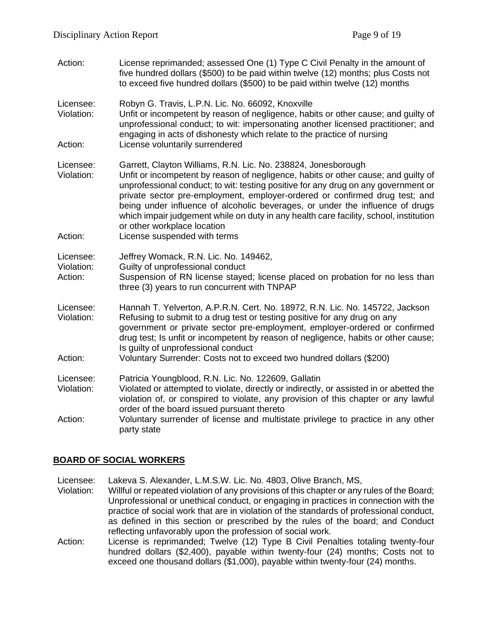Action: License reprimanded; assessed One (1) Type C Civil Penalty in the amount of five hundred dollars (\$500) to be paid within twelve (12) months; plus Costs not to exceed five hundred dollars (\$500) to be paid within twelve (12) months

Licensee: Robyn G. Travis, L.P.N. Lic. No. 66092, Knoxville

Violation: Unfit or incompetent by reason of negligence, habits or other cause; and guilty of unprofessional conduct; to wit: impersonating another licensed practitioner; and engaging in acts of dishonesty which relate to the practice of nursing Action: License voluntarily surrendered

Licensee: Garrett, Clayton Williams, R.N. Lic. No. 238824, Jonesborough<br>Violation: Unfit or incompetent by reason of negligence, habits or other ca

- Unfit or incompetent by reason of negligence, habits or other cause; and guilty of unprofessional conduct; to wit: testing positive for any drug on any government or private sector pre-employment, employer-ordered or confirmed drug test; and being under influence of alcoholic beverages, or under the influence of drugs which impair judgement while on duty in any health care facility, school, institution or other workplace location
- Action: License suspended with terms

Licensee: Jeffrey Womack, R.N. Lic. No. 149462,

- Violation: Guilty of unprofessional conduct
- Action: Suspension of RN license stayed; license placed on probation for no less than three (3) years to run concurrent with TNPAP
- Licensee: Hannah T. Yelverton, A.P.R.N. Cert. No. 18972, R.N. Lic. No. 145722, Jackson Violation: Refusing to submit to a drug test or testing positive for any drug on any

government or private sector pre-employment, employer-ordered or confirmed drug test; Is unfit or incompetent by reason of negligence, habits or other cause; Is guilty of unprofessional conduct

- Action: Voluntary Surrender: Costs not to exceed two hundred dollars (\$200)
- Licensee: Patricia Youngblood, R.N. Lic. No. 122609, Gallatin
- Violation: Violated or attempted to violate, directly or indirectly, or assisted in or abetted the violation of, or conspired to violate, any provision of this chapter or any lawful order of the board issued pursuant thereto
- Action: Voluntary surrender of license and multistate privilege to practice in any other party state

# **BOARD OF SOCIAL WORKERS**

Licensee: Lakeva S. Alexander, L.M.S.W. Lic. No. 4803, Olive Branch, MS,

- Violation: Willful or repeated violation of any provisions of this chapter or any rules of the Board; Unprofessional or unethical conduct, or engaging in practices in connection with the practice of social work that are in violation of the standards of professional conduct, as defined in this section or prescribed by the rules of the board; and Conduct reflecting unfavorably upon the profession of social work.
- Action: License is reprimanded; Twelve (12) Type B Civil Penalties totaling twenty-four hundred dollars (\$2,400), payable within twenty-four (24) months; Costs not to exceed one thousand dollars (\$1,000), payable within twenty-four (24) months.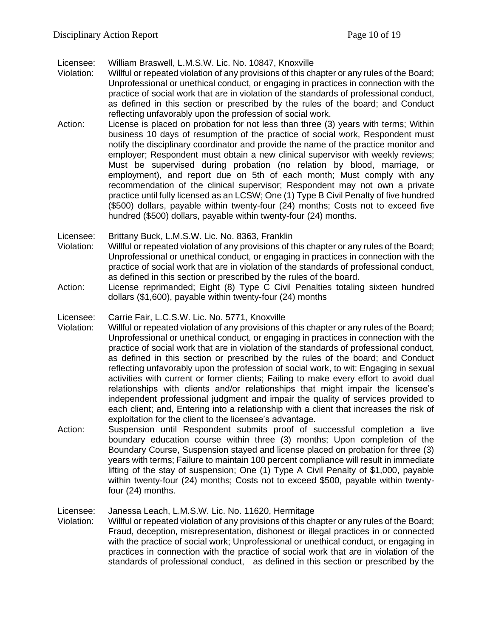Licensee: William Braswell, L.M.S.W. Lic. No. 10847, Knoxville

- Violation: Willful or repeated violation of any provisions of this chapter or any rules of the Board; Unprofessional or unethical conduct, or engaging in practices in connection with the practice of social work that are in violation of the standards of professional conduct, as defined in this section or prescribed by the rules of the board; and Conduct reflecting unfavorably upon the profession of social work.
- Action: License is placed on probation for not less than three (3) years with terms; Within business 10 days of resumption of the practice of social work, Respondent must notify the disciplinary coordinator and provide the name of the practice monitor and employer; Respondent must obtain a new clinical supervisor with weekly reviews; Must be supervised during probation (no relation by blood, marriage, or employment), and report due on 5th of each month; Must comply with any recommendation of the clinical supervisor; Respondent may not own a private practice until fully licensed as an LCSW; One (1) Type B Civil Penalty of five hundred (\$500) dollars, payable within twenty-four (24) months; Costs not to exceed five hundred (\$500) dollars, payable within twenty-four (24) months.
- Licensee: Brittany Buck, L.M.S.W. Lic. No. 8363, Franklin
- Violation: Willful or repeated violation of any provisions of this chapter or any rules of the Board; Unprofessional or unethical conduct, or engaging in practices in connection with the practice of social work that are in violation of the standards of professional conduct, as defined in this section or prescribed by the rules of the board.
- Action: License reprimanded; Eight (8) Type C Civil Penalties totaling sixteen hundred dollars (\$1,600), payable within twenty-four (24) months
- Licensee: Carrie Fair, L.C.S.W. Lic. No. 5771, Knoxville
- Violation: Willful or repeated violation of any provisions of this chapter or any rules of the Board; Unprofessional or unethical conduct, or engaging in practices in connection with the practice of social work that are in violation of the standards of professional conduct, as defined in this section or prescribed by the rules of the board; and Conduct reflecting unfavorably upon the profession of social work, to wit: Engaging in sexual activities with current or former clients; Failing to make every effort to avoid dual relationships with clients and/or relationships that might impair the licensee's independent professional judgment and impair the quality of services provided to each client; and, Entering into a relationship with a client that increases the risk of exploitation for the client to the licensee's advantage.
- Action: Suspension until Respondent submits proof of successful completion a live boundary education course within three (3) months; Upon completion of the Boundary Course, Suspension stayed and license placed on probation for three (3) years with terms; Failure to maintain 100 percent compliance will result in immediate lifting of the stay of suspension; One (1) Type A Civil Penalty of \$1,000, payable within twenty-four (24) months; Costs not to exceed \$500, payable within twentyfour (24) months.

Licensee: Janessa Leach, L.M.S.W. Lic. No. 11620, Hermitage

Violation: Willful or repeated violation of any provisions of this chapter or any rules of the Board; Fraud, deception, misrepresentation, dishonest or illegal practices in or connected with the practice of social work; Unprofessional or unethical conduct, or engaging in practices in connection with the practice of social work that are in violation of the standards of professional conduct, as defined in this section or prescribed by the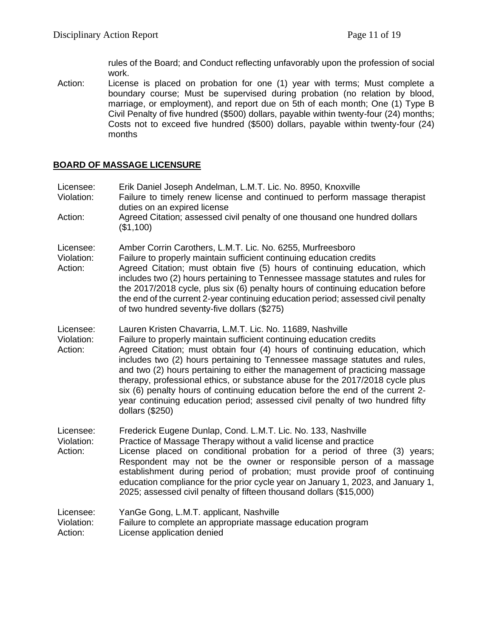rules of the Board; and Conduct reflecting unfavorably upon the profession of social work.

Action: License is placed on probation for one (1) year with terms; Must complete a boundary course; Must be supervised during probation (no relation by blood, marriage, or employment), and report due on 5th of each month; One (1) Type B Civil Penalty of five hundred (\$500) dollars, payable within twenty-four (24) months; Costs not to exceed five hundred (\$500) dollars, payable within twenty-four (24) months

## **BOARD OF MASSAGE LICENSURE**

| Licensee:<br>Violation:<br>Action: | Erik Daniel Joseph Andelman, L.M.T. Lic. No. 8950, Knoxville<br>Failure to timely renew license and continued to perform massage therapist<br>duties on an expired license<br>Agreed Citation; assessed civil penalty of one thousand one hundred dollars<br>(\$1,100)                                                                                                                                                                                                                                                                                                                                                                               |
|------------------------------------|------------------------------------------------------------------------------------------------------------------------------------------------------------------------------------------------------------------------------------------------------------------------------------------------------------------------------------------------------------------------------------------------------------------------------------------------------------------------------------------------------------------------------------------------------------------------------------------------------------------------------------------------------|
| Licensee:<br>Violation:<br>Action: | Amber Corrin Carothers, L.M.T. Lic. No. 6255, Murfreesboro<br>Failure to properly maintain sufficient continuing education credits<br>Agreed Citation; must obtain five (5) hours of continuing education, which<br>includes two (2) hours pertaining to Tennessee massage statutes and rules for<br>the 2017/2018 cycle, plus six (6) penalty hours of continuing education before<br>the end of the current 2-year continuing education period; assessed civil penalty<br>of two hundred seventy-five dollars (\$275)                                                                                                                              |
| Licensee:<br>Violation:<br>Action: | Lauren Kristen Chavarria, L.M.T. Lic. No. 11689, Nashville<br>Failure to properly maintain sufficient continuing education credits<br>Agreed Citation; must obtain four (4) hours of continuing education, which<br>includes two (2) hours pertaining to Tennessee massage statutes and rules,<br>and two (2) hours pertaining to either the management of practicing massage<br>therapy, professional ethics, or substance abuse for the 2017/2018 cycle plus<br>six (6) penalty hours of continuing education before the end of the current 2-<br>year continuing education period; assessed civil penalty of two hundred fifty<br>dollars (\$250) |
| Licensee:<br>Violation:<br>Action: | Frederick Eugene Dunlap, Cond. L.M.T. Lic. No. 133, Nashville<br>Practice of Massage Therapy without a valid license and practice<br>License placed on conditional probation for a period of three (3) years;<br>Respondent may not be the owner or responsible person of a massage<br>establishment during period of probation; must provide proof of continuing<br>education compliance for the prior cycle year on January 1, 2023, and January 1,<br>2025; assessed civil penalty of fifteen thousand dollars (\$15,000)                                                                                                                         |
| Licensee:<br>Violation:<br>Action: | YanGe Gong, L.M.T. applicant, Nashville<br>Failure to complete an appropriate massage education program<br>License application denied                                                                                                                                                                                                                                                                                                                                                                                                                                                                                                                |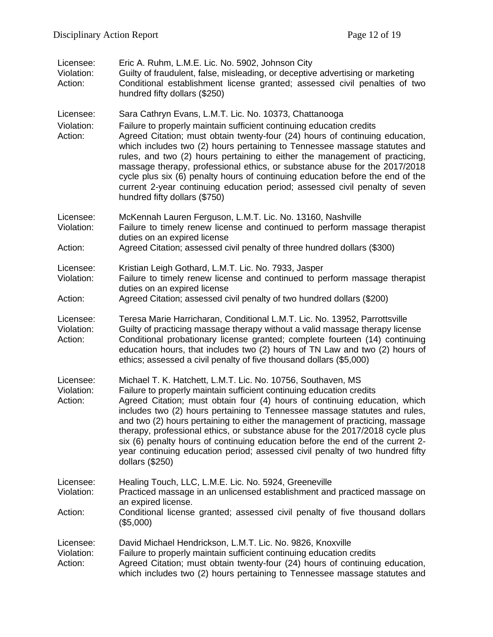| Licensee:<br>Violation:<br>Action: | Eric A. Ruhm, L.M.E. Lic. No. 5902, Johnson City<br>Guilty of fraudulent, false, misleading, or deceptive advertising or marketing<br>Conditional establishment license granted; assessed civil penalties of two<br>hundred fifty dollars (\$250)                                                                                                                                                                                                                                                                                                                                                                                                          |
|------------------------------------|------------------------------------------------------------------------------------------------------------------------------------------------------------------------------------------------------------------------------------------------------------------------------------------------------------------------------------------------------------------------------------------------------------------------------------------------------------------------------------------------------------------------------------------------------------------------------------------------------------------------------------------------------------|
| Licensee:<br>Violation:<br>Action: | Sara Cathryn Evans, L.M.T. Lic. No. 10373, Chattanooga<br>Failure to properly maintain sufficient continuing education credits<br>Agreed Citation; must obtain twenty-four (24) hours of continuing education,<br>which includes two (2) hours pertaining to Tennessee massage statutes and<br>rules, and two (2) hours pertaining to either the management of practicing,<br>massage therapy, professional ethics, or substance abuse for the 2017/2018<br>cycle plus six (6) penalty hours of continuing education before the end of the<br>current 2-year continuing education period; assessed civil penalty of seven<br>hundred fifty dollars (\$750) |
| Licensee:<br>Violation:            | McKennah Lauren Ferguson, L.M.T. Lic. No. 13160, Nashville<br>Failure to timely renew license and continued to perform massage therapist<br>duties on an expired license                                                                                                                                                                                                                                                                                                                                                                                                                                                                                   |
| Action:                            | Agreed Citation; assessed civil penalty of three hundred dollars (\$300)                                                                                                                                                                                                                                                                                                                                                                                                                                                                                                                                                                                   |
| Licensee:<br>Violation:            | Kristian Leigh Gothard, L.M.T. Lic. No. 7933, Jasper<br>Failure to timely renew license and continued to perform massage therapist<br>duties on an expired license                                                                                                                                                                                                                                                                                                                                                                                                                                                                                         |
| Action:                            | Agreed Citation; assessed civil penalty of two hundred dollars (\$200)                                                                                                                                                                                                                                                                                                                                                                                                                                                                                                                                                                                     |
| Licensee:<br>Violation:<br>Action: | Teresa Marie Harricharan, Conditional L.M.T. Lic. No. 13952, Parrottsville<br>Guilty of practicing massage therapy without a valid massage therapy license<br>Conditional probationary license granted; complete fourteen (14) continuing<br>education hours, that includes two (2) hours of TN Law and two (2) hours of<br>ethics; assessed a civil penalty of five thousand dollars (\$5,000)                                                                                                                                                                                                                                                            |
| Licensee:<br>Violation:<br>Action: | Michael T. K. Hatchett, L.M.T. Lic. No. 10756, Southaven, MS<br>Failure to properly maintain sufficient continuing education credits<br>Agreed Citation; must obtain four (4) hours of continuing education, which<br>includes two (2) hours pertaining to Tennessee massage statutes and rules,<br>and two (2) hours pertaining to either the management of practicing, massage<br>therapy, professional ethics, or substance abuse for the 2017/2018 cycle plus<br>six (6) penalty hours of continuing education before the end of the current 2-<br>year continuing education period; assessed civil penalty of two hundred fifty<br>dollars (\$250)    |
| Licensee:<br>Violation:<br>Action: | Healing Touch, LLC, L.M.E. Lic. No. 5924, Greeneville<br>Practiced massage in an unlicensed establishment and practiced massage on<br>an expired license.<br>Conditional license granted; assessed civil penalty of five thousand dollars<br>(\$5,000)                                                                                                                                                                                                                                                                                                                                                                                                     |
| Licensee:<br>Violation:<br>Action: | David Michael Hendrickson, L.M.T. Lic. No. 9826, Knoxville<br>Failure to properly maintain sufficient continuing education credits<br>Agreed Citation; must obtain twenty-four (24) hours of continuing education,<br>which includes two (2) hours pertaining to Tennessee massage statutes and                                                                                                                                                                                                                                                                                                                                                            |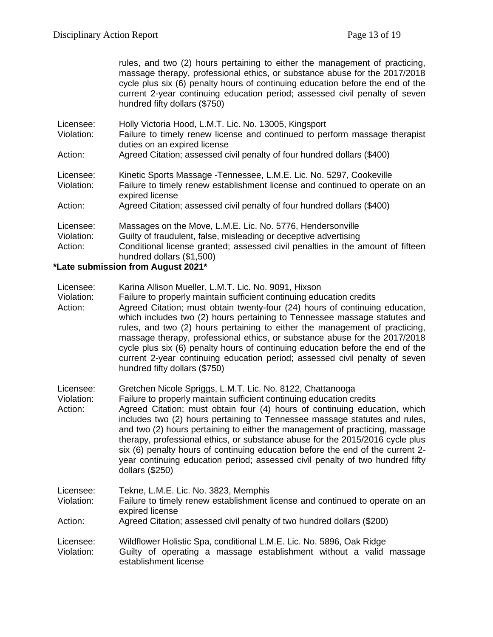rules, and two (2) hours pertaining to either the management of practicing, massage therapy, professional ethics, or substance abuse for the 2017/2018 cycle plus six (6) penalty hours of continuing education before the end of the current 2-year continuing education period; assessed civil penalty of seven hundred fifty dollars (\$750)

| Licensee:  | Holly Victoria Hood, L.M.T. Lic. No. 13005, Kingsport                                                       |
|------------|-------------------------------------------------------------------------------------------------------------|
| Violation: | Failure to timely renew license and continued to perform massage therapist<br>duties on an expired license  |
| Action:    | Agreed Citation; assessed civil penalty of four hundred dollars (\$400)                                     |
| Licensee:  | Kinetic Sports Massage - Tennessee, L.M.E. Lic. No. 5297, Cookeville                                        |
| Violation: | Failure to timely renew establishment license and continued to operate on an<br>expired license             |
| Action:    | Agreed Citation; assessed civil penalty of four hundred dollars (\$400)                                     |
| Licensee:  | Massages on the Move, L.M.E. Lic. No. 5776, Hendersonville                                                  |
| Violation: | Guilty of fraudulent, false, misleading or deceptive advertising                                            |
| Action:    | Conditional license granted; assessed civil penalties in the amount of fifteen<br>hundred dollars (\$1,500) |

## **\*Late submission from August 2021\***

- Licensee: Karina Allison Mueller, L.M.T. Lic. No. 9091, Hixson
- Violation: Failure to properly maintain sufficient continuing education credits
- Action: Agreed Citation; must obtain twenty-four (24) hours of continuing education, which includes two (2) hours pertaining to Tennessee massage statutes and rules, and two (2) hours pertaining to either the management of practicing, massage therapy, professional ethics, or substance abuse for the 2017/2018 cycle plus six (6) penalty hours of continuing education before the end of the current 2-year continuing education period; assessed civil penalty of seven hundred fifty dollars (\$750)

Licensee: Gretchen Nicole Spriggs, L.M.T. Lic. No. 8122, Chattanooga

Violation: Failure to properly maintain sufficient continuing education credits

Action: Agreed Citation; must obtain four (4) hours of continuing education, which includes two (2) hours pertaining to Tennessee massage statutes and rules, and two (2) hours pertaining to either the management of practicing, massage therapy, professional ethics, or substance abuse for the 2015/2016 cycle plus six (6) penalty hours of continuing education before the end of the current 2 year continuing education period; assessed civil penalty of two hundred fifty dollars (\$250)

Licensee: Tekne, L.M.E. Lic. No. 3823, Memphis

Violation: Failure to timely renew establishment license and continued to operate on an expired license

Action: Agreed Citation; assessed civil penalty of two hundred dollars (\$200)

Licensee: Wildflower Holistic Spa, conditional L.M.E. Lic. No. 5896, Oak Ridge Violation: Guilty of operating a massage establishment without a valid massage establishment license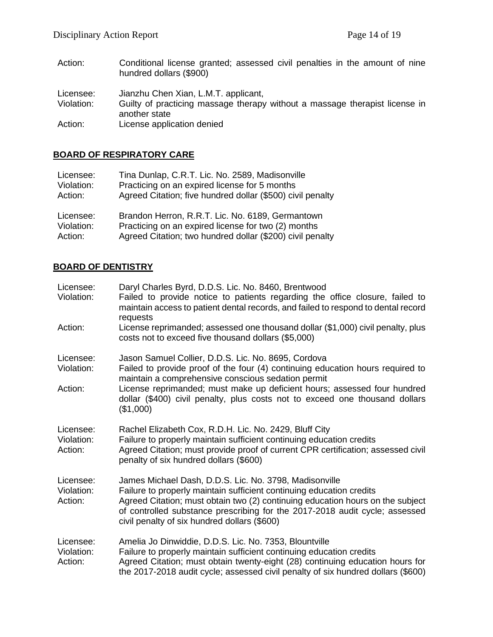Action: Conditional license granted; assessed civil penalties in the amount of nine hundred dollars (\$900) Licensee: Jianzhu Chen Xian, L.M.T. applicant,<br>Violation: Guilty of practicing massage therapy Guilty of practicing massage therapy without a massage therapist license in another state Action: License application denied

# **BOARD OF RESPIRATORY CARE**

| Licensee:  | Tina Dunlap, C.R.T. Lic. No. 2589, Madisonville            |
|------------|------------------------------------------------------------|
| Violation: | Practicing on an expired license for 5 months              |
| Action:    | Agreed Citation; five hundred dollar (\$500) civil penalty |
| Licensee:  | Brandon Herron, R.R.T. Lic. No. 6189, Germantown           |
| Violation: | Practicing on an expired license for two (2) months        |
| Action:    | Agreed Citation; two hundred dollar (\$200) civil penalty  |

## **BOARD OF DENTISTRY**

| Licensee:<br>Violation:            | Daryl Charles Byrd, D.D.S. Lic. No. 8460, Brentwood<br>Failed to provide notice to patients regarding the office closure, failed to<br>maintain access to patient dental records, and failed to respond to dental record<br>requests                                                                                                                                |
|------------------------------------|---------------------------------------------------------------------------------------------------------------------------------------------------------------------------------------------------------------------------------------------------------------------------------------------------------------------------------------------------------------------|
| Action:                            | License reprimanded; assessed one thousand dollar (\$1,000) civil penalty, plus<br>costs not to exceed five thousand dollars (\$5,000)                                                                                                                                                                                                                              |
| Licensee:<br>Violation:<br>Action: | Jason Samuel Collier, D.D.S. Lic. No. 8695, Cordova<br>Failed to provide proof of the four (4) continuing education hours required to<br>maintain a comprehensive conscious sedation permit<br>License reprimanded; must make up deficient hours; assessed four hundred<br>dollar (\$400) civil penalty, plus costs not to exceed one thousand dollars<br>(\$1,000) |
| Licensee:<br>Violation:<br>Action: | Rachel Elizabeth Cox, R.D.H. Lic. No. 2429, Bluff City<br>Failure to properly maintain sufficient continuing education credits<br>Agreed Citation; must provide proof of current CPR certification; assessed civil<br>penalty of six hundred dollars (\$600)                                                                                                        |
| Licensee:<br>Violation:<br>Action: | James Michael Dash, D.D.S. Lic. No. 3798, Madisonville<br>Failure to properly maintain sufficient continuing education credits<br>Agreed Citation; must obtain two (2) continuing education hours on the subject<br>of controlled substance prescribing for the 2017-2018 audit cycle; assessed<br>civil penalty of six hundred dollars (\$600)                     |
| Licensee:<br>Violation:<br>Action: | Amelia Jo Dinwiddie, D.D.S. Lic. No. 7353, Blountville<br>Failure to properly maintain sufficient continuing education credits<br>Agreed Citation; must obtain twenty-eight (28) continuing education hours for<br>the 2017-2018 audit cycle; assessed civil penalty of six hundred dollars (\$600)                                                                 |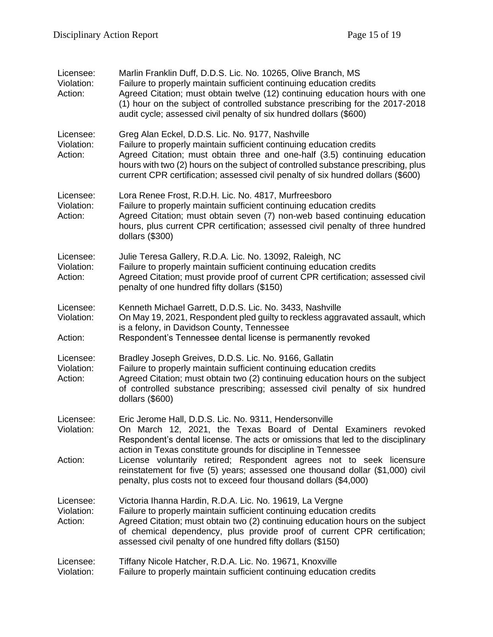| Licensee:<br>Violation:<br>Action: | Marlin Franklin Duff, D.D.S. Lic. No. 10265, Olive Branch, MS<br>Failure to properly maintain sufficient continuing education credits<br>Agreed Citation; must obtain twelve (12) continuing education hours with one<br>(1) hour on the subject of controlled substance prescribing for the 2017-2018<br>audit cycle; assessed civil penalty of six hundred dollars (\$600)    |
|------------------------------------|---------------------------------------------------------------------------------------------------------------------------------------------------------------------------------------------------------------------------------------------------------------------------------------------------------------------------------------------------------------------------------|
| Licensee:<br>Violation:<br>Action: | Greg Alan Eckel, D.D.S. Lic. No. 9177, Nashville<br>Failure to properly maintain sufficient continuing education credits<br>Agreed Citation; must obtain three and one-half (3.5) continuing education<br>hours with two (2) hours on the subject of controlled substance prescribing, plus<br>current CPR certification; assessed civil penalty of six hundred dollars (\$600) |
| Licensee:<br>Violation:<br>Action: | Lora Renee Frost, R.D.H. Lic. No. 4817, Murfreesboro<br>Failure to properly maintain sufficient continuing education credits<br>Agreed Citation; must obtain seven (7) non-web based continuing education<br>hours, plus current CPR certification; assessed civil penalty of three hundred<br>dollars $(\$300)$                                                                |
| Licensee:<br>Violation:<br>Action: | Julie Teresa Gallery, R.D.A. Lic. No. 13092, Raleigh, NC<br>Failure to properly maintain sufficient continuing education credits<br>Agreed Citation; must provide proof of current CPR certification; assessed civil<br>penalty of one hundred fifty dollars (\$150)                                                                                                            |
| Licensee:<br>Violation:<br>Action: | Kenneth Michael Garrett, D.D.S. Lic. No. 3433, Nashville<br>On May 19, 2021, Respondent pled guilty to reckless aggravated assault, which<br>is a felony, in Davidson County, Tennessee<br>Respondent's Tennessee dental license is permanently revoked                                                                                                                         |
| Licensee:<br>Violation:<br>Action: | Bradley Joseph Greives, D.D.S. Lic. No. 9166, Gallatin<br>Failure to properly maintain sufficient continuing education credits<br>Agreed Citation; must obtain two (2) continuing education hours on the subject<br>of controlled substance prescribing; assessed civil penalty of six hundred<br>dollars (\$600)                                                               |
| Licensee:<br>Violation:<br>Action: | Eric Jerome Hall, D.D.S. Lic. No. 9311, Hendersonville<br>On March 12, 2021, the Texas Board of Dental Examiners revoked<br>Respondent's dental license. The acts or omissions that led to the disciplinary<br>action in Texas constitute grounds for discipline in Tennessee<br>License voluntarily retired; Respondent agrees not to seek licensure                           |
|                                    | reinstatement for five (5) years; assessed one thousand dollar (\$1,000) civil<br>penalty, plus costs not to exceed four thousand dollars (\$4,000)                                                                                                                                                                                                                             |
| Licensee:<br>Violation:<br>Action: | Victoria Ihanna Hardin, R.D.A. Lic. No. 19619, La Vergne<br>Failure to properly maintain sufficient continuing education credits<br>Agreed Citation; must obtain two (2) continuing education hours on the subject<br>of chemical dependency, plus provide proof of current CPR certification;<br>assessed civil penalty of one hundred fifty dollars (\$150)                   |
| Licensee:<br>Violation:            | Tiffany Nicole Hatcher, R.D.A. Lic. No. 19671, Knoxville<br>Failure to properly maintain sufficient continuing education credits                                                                                                                                                                                                                                                |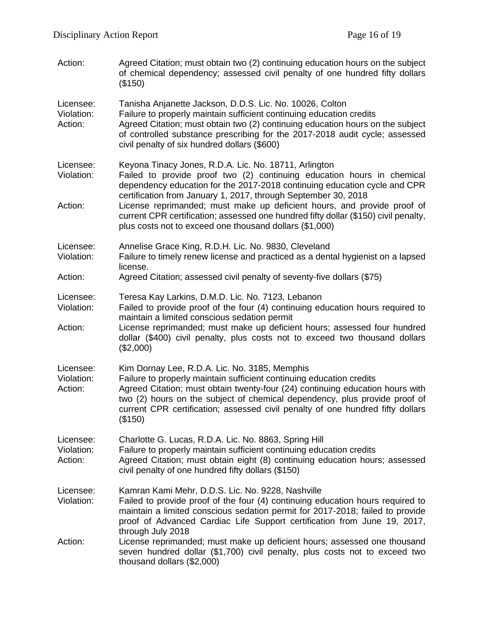| Action:                            | Agreed Citation; must obtain two (2) continuing education hours on the subject<br>of chemical dependency; assessed civil penalty of one hundred fifty dollars<br>(\$150)                                                                                                                                                                                                                                                                                                                                    |  |
|------------------------------------|-------------------------------------------------------------------------------------------------------------------------------------------------------------------------------------------------------------------------------------------------------------------------------------------------------------------------------------------------------------------------------------------------------------------------------------------------------------------------------------------------------------|--|
| Licensee:<br>Violation:<br>Action: | Tanisha Anjanette Jackson, D.D.S. Lic. No. 10026, Colton<br>Failure to properly maintain sufficient continuing education credits<br>Agreed Citation; must obtain two (2) continuing education hours on the subject<br>of controlled substance prescribing for the 2017-2018 audit cycle; assessed<br>civil penalty of six hundred dollars (\$600)                                                                                                                                                           |  |
| Licensee:<br>Violation:<br>Action: | Keyona Tinacy Jones, R.D.A. Lic. No. 18711, Arlington<br>Failed to provide proof two (2) continuing education hours in chemical<br>dependency education for the 2017-2018 continuing education cycle and CPR<br>certification from January 1, 2017, through September 30, 2018<br>License reprimanded; must make up deficient hours, and provide proof of<br>current CPR certification; assessed one hundred fifty dollar (\$150) civil penalty,<br>plus costs not to exceed one thousand dollars (\$1,000) |  |
| Licensee:<br>Violation:            | Annelise Grace King, R.D.H. Lic. No. 9830, Cleveland<br>Failure to timely renew license and practiced as a dental hygienist on a lapsed<br>license.                                                                                                                                                                                                                                                                                                                                                         |  |
| Action:                            | Agreed Citation; assessed civil penalty of seventy-five dollars (\$75)                                                                                                                                                                                                                                                                                                                                                                                                                                      |  |
| Licensee:<br>Violation:<br>Action: | Teresa Kay Larkins, D.M.D. Lic. No. 7123, Lebanon<br>Failed to provide proof of the four (4) continuing education hours required to<br>maintain a limited conscious sedation permit<br>License reprimanded; must make up deficient hours; assessed four hundred<br>dollar (\$400) civil penalty, plus costs not to exceed two thousand dollars<br>(\$2,000)                                                                                                                                                 |  |
| Licensee:<br>Violation:<br>Action: | Kim Dornay Lee, R.D.A. Lic. No. 3185, Memphis<br>Failure to properly maintain sufficient continuing education credits<br>Agreed Citation; must obtain twenty-four (24) continuing education hours with<br>two (2) hours on the subject of chemical dependency, plus provide proof of<br>current CPR certification; assessed civil penalty of one hundred fifty dollars<br>(\$150)                                                                                                                           |  |
| Licensee:<br>Violation:<br>Action: | Charlotte G. Lucas, R.D.A. Lic. No. 8863, Spring Hill<br>Failure to properly maintain sufficient continuing education credits<br>Agreed Citation; must obtain eight (8) continuing education hours; assessed<br>civil penalty of one hundred fifty dollars (\$150)                                                                                                                                                                                                                                          |  |
| Licensee:<br>Violation:            | Kamran Kami Mehr, D.D.S. Lic. No. 9228, Nashville<br>Failed to provide proof of the four (4) continuing education hours required to<br>maintain a limited conscious sedation permit for 2017-2018; failed to provide<br>proof of Advanced Cardiac Life Support certification from June 19, 2017,<br>through July 2018                                                                                                                                                                                       |  |
| Action:                            | License reprimanded; must make up deficient hours; assessed one thousand<br>seven hundred dollar (\$1,700) civil penalty, plus costs not to exceed two<br>thousand dollars (\$2,000)                                                                                                                                                                                                                                                                                                                        |  |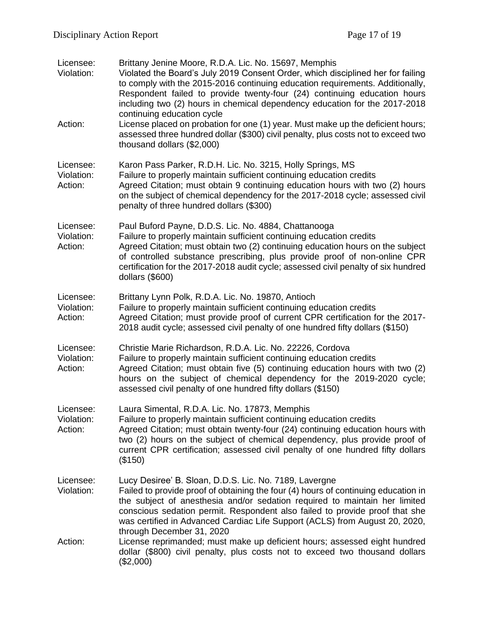| Licensee:<br>Violation:<br>Action: | Brittany Jenine Moore, R.D.A. Lic. No. 15697, Memphis<br>Violated the Board's July 2019 Consent Order, which disciplined her for failing<br>to comply with the 2015-2016 continuing education requirements. Additionally,<br>Respondent failed to provide twenty-four (24) continuing education hours<br>including two (2) hours in chemical dependency education for the 2017-2018<br>continuing education cycle<br>License placed on probation for one (1) year. Must make up the deficient hours;<br>assessed three hundred dollar (\$300) civil penalty, plus costs not to exceed two |
|------------------------------------|-------------------------------------------------------------------------------------------------------------------------------------------------------------------------------------------------------------------------------------------------------------------------------------------------------------------------------------------------------------------------------------------------------------------------------------------------------------------------------------------------------------------------------------------------------------------------------------------|
|                                    | thousand dollars (\$2,000)                                                                                                                                                                                                                                                                                                                                                                                                                                                                                                                                                                |
| Licensee:<br>Violation:<br>Action: | Karon Pass Parker, R.D.H. Lic. No. 3215, Holly Springs, MS<br>Failure to properly maintain sufficient continuing education credits<br>Agreed Citation; must obtain 9 continuing education hours with two (2) hours<br>on the subject of chemical dependency for the 2017-2018 cycle; assessed civil<br>penalty of three hundred dollars (\$300)                                                                                                                                                                                                                                           |
| Licensee:<br>Violation:<br>Action: | Paul Buford Payne, D.D.S. Lic. No. 4884, Chattanooga<br>Failure to properly maintain sufficient continuing education credits<br>Agreed Citation; must obtain two (2) continuing education hours on the subject<br>of controlled substance prescribing, plus provide proof of non-online CPR<br>certification for the 2017-2018 audit cycle; assessed civil penalty of six hundred<br>dollars (\$600)                                                                                                                                                                                      |
| Licensee:<br>Violation:<br>Action: | Brittany Lynn Polk, R.D.A. Lic. No. 19870, Antioch<br>Failure to properly maintain sufficient continuing education credits<br>Agreed Citation; must provide proof of current CPR certification for the 2017-<br>2018 audit cycle; assessed civil penalty of one hundred fifty dollars (\$150)                                                                                                                                                                                                                                                                                             |
| Licensee:<br>Violation:<br>Action: | Christie Marie Richardson, R.D.A. Lic. No. 22226, Cordova<br>Failure to properly maintain sufficient continuing education credits<br>Agreed Citation; must obtain five (5) continuing education hours with two (2)<br>hours on the subject of chemical dependency for the 2019-2020 cycle;<br>assessed civil penalty of one hundred fifty dollars (\$150)                                                                                                                                                                                                                                 |
| Licensee:<br>Violation:<br>Action: | Laura Simental, R.D.A. Lic. No. 17873, Memphis<br>Failure to properly maintain sufficient continuing education credits<br>Agreed Citation; must obtain twenty-four (24) continuing education hours with<br>two (2) hours on the subject of chemical dependency, plus provide proof of<br>current CPR certification; assessed civil penalty of one hundred fifty dollars<br>(\$150)                                                                                                                                                                                                        |
| Licensee:<br>Violation:            | Lucy Desiree' B. Sloan, D.D.S. Lic. No. 7189, Lavergne<br>Failed to provide proof of obtaining the four (4) hours of continuing education in<br>the subject of anesthesia and/or sedation required to maintain her limited<br>conscious sedation permit. Respondent also failed to provide proof that she<br>was certified in Advanced Cardiac Life Support (ACLS) from August 20, 2020,<br>through December 31, 2020                                                                                                                                                                     |
| Action:                            | License reprimanded; must make up deficient hours; assessed eight hundred<br>dollar (\$800) civil penalty, plus costs not to exceed two thousand dollars<br>(\$2,000)                                                                                                                                                                                                                                                                                                                                                                                                                     |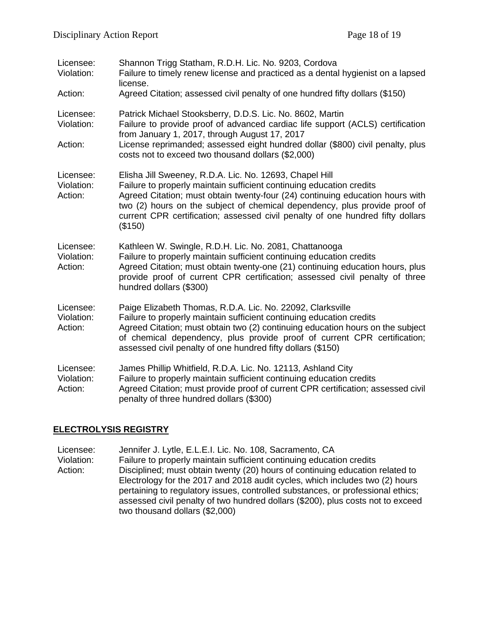| Licensee:<br>Violation:            | Shannon Trigg Statham, R.D.H. Lic. No. 9203, Cordova<br>Failure to timely renew license and practiced as a dental hygienist on a lapsed<br>license.                                                                                                                                                                                                                                         |
|------------------------------------|---------------------------------------------------------------------------------------------------------------------------------------------------------------------------------------------------------------------------------------------------------------------------------------------------------------------------------------------------------------------------------------------|
| Action:                            | Agreed Citation; assessed civil penalty of one hundred fifty dollars (\$150)                                                                                                                                                                                                                                                                                                                |
| Licensee:<br>Violation:<br>Action: | Patrick Michael Stooksberry, D.D.S. Lic. No. 8602, Martin<br>Failure to provide proof of advanced cardiac life support (ACLS) certification<br>from January 1, 2017, through August 17, 2017<br>License reprimanded; assessed eight hundred dollar (\$800) civil penalty, plus<br>costs not to exceed two thousand dollars (\$2,000)                                                        |
| Licensee:<br>Violation:<br>Action: | Elisha Jill Sweeney, R.D.A. Lic. No. 12693, Chapel Hill<br>Failure to properly maintain sufficient continuing education credits<br>Agreed Citation; must obtain twenty-four (24) continuing education hours with<br>two (2) hours on the subject of chemical dependency, plus provide proof of<br>current CPR certification; assessed civil penalty of one hundred fifty dollars<br>(\$150) |
| Licensee:<br>Violation:<br>Action: | Kathleen W. Swingle, R.D.H. Lic. No. 2081, Chattanooga<br>Failure to properly maintain sufficient continuing education credits<br>Agreed Citation; must obtain twenty-one (21) continuing education hours, plus<br>provide proof of current CPR certification; assessed civil penalty of three<br>hundred dollars (\$300)                                                                   |
| Licensee:<br>Violation:<br>Action: | Paige Elizabeth Thomas, R.D.A. Lic. No. 22092, Clarksville<br>Failure to properly maintain sufficient continuing education credits<br>Agreed Citation; must obtain two (2) continuing education hours on the subject<br>of chemical dependency, plus provide proof of current CPR certification;<br>assessed civil penalty of one hundred fifty dollars (\$150)                             |
| Licensee:<br>Violation:<br>Action: | James Phillip Whitfield, R.D.A. Lic. No. 12113, Ashland City<br>Failure to properly maintain sufficient continuing education credits<br>Agreed Citation; must provide proof of current CPR certification; assessed civil<br>penalty of three hundred dollars (\$300)                                                                                                                        |

# **ELECTROLYSIS REGISTRY**

Licensee: Jennifer J. Lytle, E.L.E.I. Lic. No. 108, Sacramento, CA Violation: Failure to properly maintain sufficient continuing education credits Action: Disciplined; must obtain twenty (20) hours of continuing education related to Electrology for the 2017 and 2018 audit cycles, which includes two (2) hours pertaining to regulatory issues, controlled substances, or professional ethics; assessed civil penalty of two hundred dollars (\$200), plus costs not to exceed two thousand dollars (\$2,000)